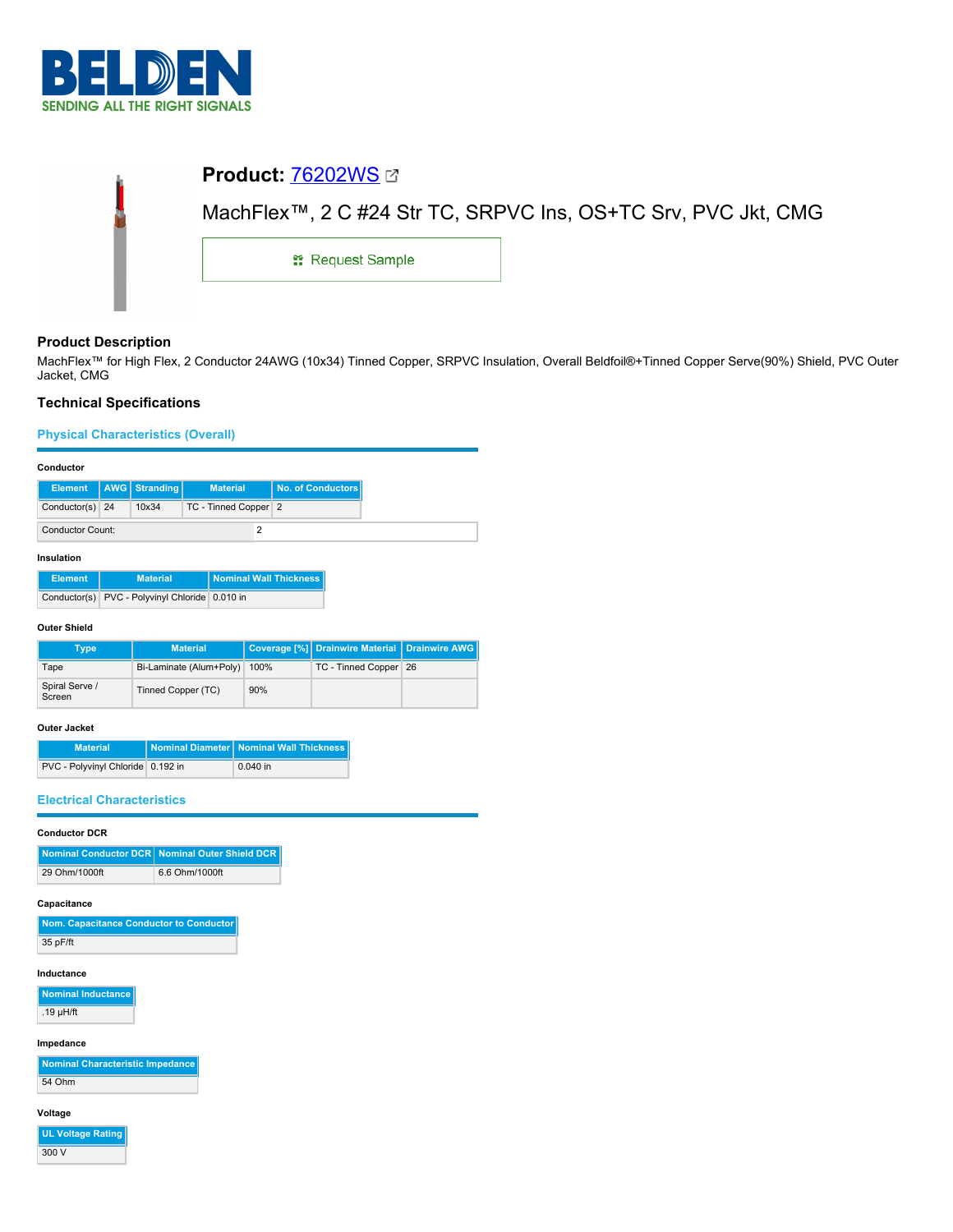

| <b>Product: 76202WS 27</b> |                                                               |
|----------------------------|---------------------------------------------------------------|
|                            | MachFlex™, 2 C #24 Str TC, SRPVC Ins, OS+TC Srv, PVC Jkt, CMG |
| <b>: Request Sample</b>    |                                                               |
|                            |                                                               |

# **Product Description**

MachFlex™ for High Flex, 2 Conductor 24AWG (10x34) Tinned Copper, SRPVC Insulation, Overall Beldfoil®+Tinned Copper Serve(90%) Shield, PVC Outer Jacket, CMG

# **Technical Specifications**

**Physical Characteristics (Overall)**

## **Conductor**

|                         |  | Element   AWG   Stranding | <b>Material</b>      | No. of Conductors |
|-------------------------|--|---------------------------|----------------------|-------------------|
| Conductor(s) 24         |  | 10x34                     | TC - Tinned Copper 2 |                   |
| <b>Conductor Count:</b> |  |                           |                      |                   |

#### **Insulation**

| <b>Element</b> | <b>Material</b>                                | <b>Nominal Wall Thickness</b> |
|----------------|------------------------------------------------|-------------------------------|
|                | Conductor(s) PVC - Polyvinyl Chloride 0.010 in |                               |

## **Outer Shield**

| Type                     | <b>Material</b>         |      | Coverage [%] Drainwire Material   Drainwire AWG |  |
|--------------------------|-------------------------|------|-------------------------------------------------|--|
| Tape                     | Bi-Laminate (Alum+Poly) | 100% | TC - Tinned Copper 26                           |  |
| Spiral Serve /<br>Screen | Tinned Copper (TC)      | 90%  |                                                 |  |

## **Outer Jacket**

| <b>Material</b>                     | Nominal Diameter   Nominal Wall Thickness |
|-------------------------------------|-------------------------------------------|
| PVC - Polyvinyl Chloride   0.192 in | $0.040$ in                                |

## **Electrical Characteristics**

## **Conductor DCR**

|               | Nominal Conductor DCR Nominal Outer Shield DCR |
|---------------|------------------------------------------------|
| 29 Ohm/1000ft | 6.6 Ohm/1000ft                                 |

#### **Capacitance**

| Nom. Capacitance Conductor to Conductor |
|-----------------------------------------|
| 35 pF/ft                                |

## **Inductance**

**Nominal Inductance** .19 µH/ft

**Impedance**

**Nominal Characteristic Impedance** 54 Ohm

## **Voltage**

**UL Voltage Rating** 300 V